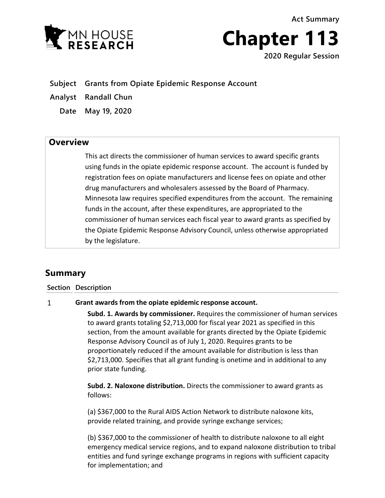**Act Summary**



**Chapter 113**

**2020 Regular Session**

**Subject Grants from Opiate Epidemic Response Account**

**Analyst Randall Chun**

**Date May 19, 2020**

## **Overview**

This act directs the commissioner of human services to award specific grants using funds in the opiate epidemic response account. The account is funded by registration fees on opiate manufacturers and license fees on opiate and other drug manufacturers and wholesalers assessed by the Board of Pharmacy. Minnesota law requires specified expenditures from the account. The remaining funds in the account, after these expenditures, are appropriated to the commissioner of human services each fiscal year to award grants as specified by the Opiate Epidemic Response Advisory Council, unless otherwise appropriated by the legislature.

# **Summary**

**Section Description**

#### $\mathbf{1}$ **Grant awards from the opiate epidemic response account.**

**Subd. 1. Awards by commissioner.** Requires the commissioner of human services to award grants totaling \$2,713,000 for fiscal year 2021 as specified in this section, from the amount available for grants directed by the Opiate Epidemic Response Advisory Council as of July 1, 2020. Requires grants to be proportionately reduced if the amount available for distribution is less than \$2,713,000. Specifies that all grant funding is onetime and in additional to any prior state funding.

**Subd. 2. Naloxone distribution.** Directs the commissioner to award grants as follows:

(a) \$367,000 to the Rural AIDS Action Network to distribute naloxone kits, provide related training, and provide syringe exchange services;

(b) \$367,000 to the commissioner of health to distribute naloxone to all eight emergency medical service regions, and to expand naloxone distribution to tribal entities and fund syringe exchange programs in regions with sufficient capacity for implementation; and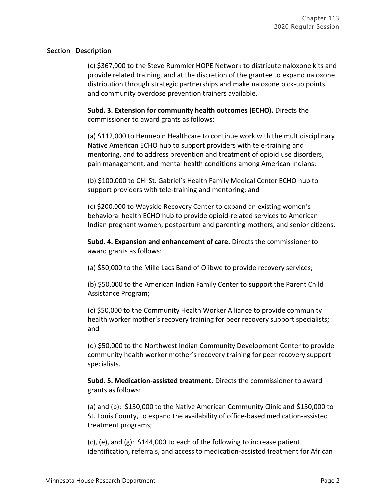### **Section Description**

(c) \$367,000 to the Steve Rummler HOPE Network to distribute naloxone kits and provide related training, and at the discretion of the grantee to expand naloxone distribution through strategic partnerships and make naloxone pick-up points and community overdose prevention trainers available.

**Subd. 3. Extension for community health outcomes (ECHO).** Directs the commissioner to award grants as follows:

(a) \$112,000 to Hennepin Healthcare to continue work with the multidisciplinary Native American ECHO hub to support providers with tele-training and mentoring, and to address prevention and treatment of opioid use disorders, pain management, and mental health conditions among American Indians;

(b) \$100,000 to CHI St. Gabriel's Health Family Medical Center ECHO hub to support providers with tele-training and mentoring; and

(c) \$200,000 to Wayside Recovery Center to expand an existing women's behavioral health ECHO hub to provide opioid-related services to American Indian pregnant women, postpartum and parenting mothers, and senior citizens.

**Subd. 4. Expansion and enhancement of care.** Directs the commissioner to award grants as follows:

(a) \$50,000 to the Mille Lacs Band of Ojibwe to provide recovery services;

(b) \$50,000 to the American Indian Family Center to support the Parent Child Assistance Program;

(c) \$50,000 to the Community Health Worker Alliance to provide community health worker mother's recovery training for peer recovery support specialists; and

(d) \$50,000 to the Northwest Indian Community Development Center to provide community health worker mother's recovery training for peer recovery support specialists.

**Subd. 5. Medication-assisted treatment.** Directs the commissioner to award grants as follows:

(a) and (b): \$130,000 to the Native American Community Clinic and \$150,000 to St. Louis County, to expand the availability of office-based medication-assisted treatment programs;

(c), (e), and (g): \$144,000 to each of the following to increase patient identification, referrals, and access to medication-assisted treatment for African